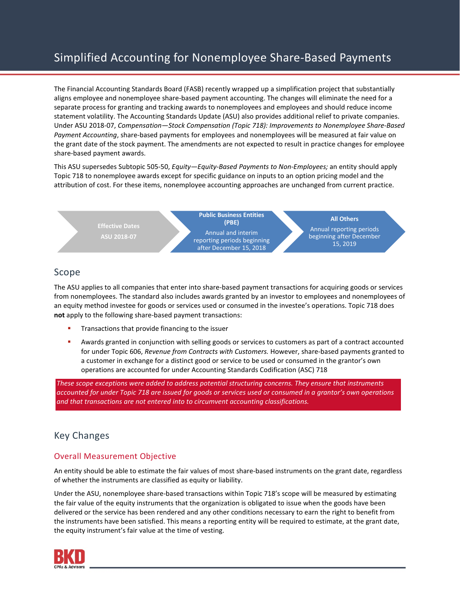# Simplified Accounting for Nonemployee Share-Based Payments

The Financial Accounting Standards Board (FASB) recently wrapped up a simplification project that substantially aligns employee and nonemployee share-based payment accounting. The changes will eliminate the need for a separate process for granting and tracking awards to nonemployees and employees and should reduce income statement volatility. The Accounting Standards Update (ASU) also provides additional relief to private companies. Under ASU 2018-07, *Compensation—Stock Compensation (Topic 718): Improvements to Nonemployee Share-Based Payment Accounting*, share-based payments for employees and nonemployees will be measured at fair value on the grant date of the stock payment. The amendments are not expected to result in practice changes for employee share-based payment awards.

This ASU supersedes Subtopic 505-50, *Equity—Equity-Based Payments to Non-Employees;* an entity should apply Topic 718 to nonemployee awards except for specific guidance on inputs to an option pricing model and the attribution of cost. For these items, nonemployee accounting approaches are unchanged from current practice.



# Scope

The ASU applies to all companies that enter into share-based payment transactions for acquiring goods or services from nonemployees. The standard also includes awards granted by an investor to employees and nonemployees of an equity method investee for goods or services used or consumed in the investee's operations. Topic 718 does **not** apply to the following share-based payment transactions:

- Transactions that provide financing to the issuer
- Awards granted in conjunction with selling goods or services to customers as part of a contract accounted for under Topic 606, *Revenue from Contracts with Customers.* However, share-based payments granted to a customer in exchange for a distinct good or service to be used or consumed in the grantor's own operations are accounted for under Accounting Standards Codification (ASC) 718

*These scope exceptions were added to address potential structuring concerns. They ensure that instruments accounted for under Topic 718 are issued for goods or services used or consumed in a grantor's own operations and that transactions are not entered into to circumvent accounting classifications.* 

# Key Changes

## Overall Measurement Objective

An entity should be able to estimate the fair values of most share-based instruments on the grant date, regardless of whether the instruments are classified as equity or liability.

Under the ASU, nonemployee share-based transactions within Topic 718's scope will be measured by estimating the fair value of the equity instruments that the organization is obligated to issue when the goods have been delivered or the service has been rendered and any other conditions necessary to earn the right to benefit from the instruments have been satisfied. This means a reporting entity will be required to estimate, at the grant date, the equity instrument's fair value at the time of vesting.

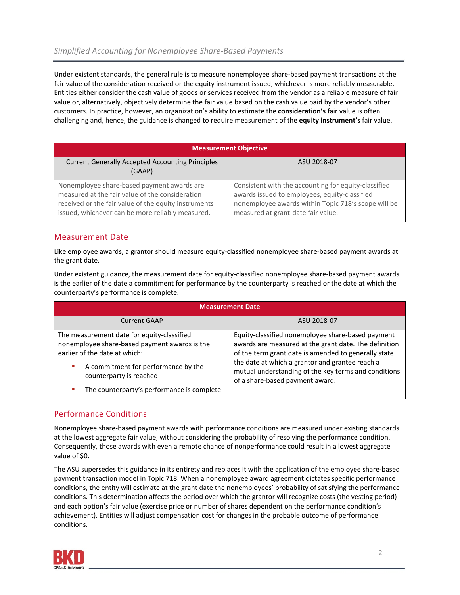Under existent standards, the general rule is to measure nonemployee share-based payment transactions at the fair value of the consideration received or the equity instrument issued, whichever is more reliably measurable. Entities either consider the cash value of goods or services received from the vendor as a reliable measure of fair value or, alternatively, objectively determine the fair value based on the cash value paid by the vendor's other customers. In practice, however, an organization's ability to estimate the **consideration's** fair value is often challenging and, hence, the guidance is changed to require measurement of the **equity instrument's** fair value.

| <b>Measurement Objective</b>                                                                                                                                                                              |                                                                                                                                                                                                    |
|-----------------------------------------------------------------------------------------------------------------------------------------------------------------------------------------------------------|----------------------------------------------------------------------------------------------------------------------------------------------------------------------------------------------------|
| <b>Current Generally Accepted Accounting Principles</b><br>(GAAP)                                                                                                                                         | ASU 2018-07                                                                                                                                                                                        |
| Nonemployee share-based payment awards are<br>measured at the fair value of the consideration<br>received or the fair value of the equity instruments<br>issued, whichever can be more reliably measured. | Consistent with the accounting for equity-classified<br>awards issued to employees, equity-classified<br>nonemployee awards within Topic 718's scope will be<br>measured at grant-date fair value. |

#### Measurement Date

Like employee awards, a grantor should measure equity-classified nonemployee share-based payment awards at the grant date.

Under existent guidance, the measurement date for equity-classified nonemployee share-based payment awards is the earlier of the date a commitment for performance by the counterparty is reached or the date at which the counterparty's performance is complete.

| <b>Measurement Date</b>                                                                                                                                                                                                                      |                                                                                                                                                                                                                                                                                                                  |  |
|----------------------------------------------------------------------------------------------------------------------------------------------------------------------------------------------------------------------------------------------|------------------------------------------------------------------------------------------------------------------------------------------------------------------------------------------------------------------------------------------------------------------------------------------------------------------|--|
| <b>Current GAAP</b>                                                                                                                                                                                                                          | ASU 2018-07                                                                                                                                                                                                                                                                                                      |  |
| The measurement date for equity-classified<br>nonemployee share-based payment awards is the<br>earlier of the date at which:<br>A commitment for performance by the<br>counterparty is reached<br>The counterparty's performance is complete | Equity-classified nonemployee share-based payment<br>awards are measured at the grant date. The definition<br>of the term grant date is amended to generally state<br>the date at which a grantor and grantee reach a<br>mutual understanding of the key terms and conditions<br>of a share-based payment award. |  |

## Performance Conditions

Nonemployee share-based payment awards with performance conditions are measured under existing standards at the lowest aggregate fair value, without considering the probability of resolving the performance condition. Consequently, those awards with even a remote chance of nonperformance could result in a lowest aggregate value of \$0.

The ASU supersedes this guidance in its entirety and replaces it with the application of the employee share-based payment transaction model in Topic 718. When a nonemployee award agreement dictates specific performance conditions, the entity will estimate at the grant date the nonemployees' probability of satisfying the performance conditions. This determination affects the period over which the grantor will recognize costs (the vesting period) and each option's fair value (exercise price or number of shares dependent on the performance condition's achievement). Entities will adjust compensation cost for changes in the probable outcome of performance conditions.

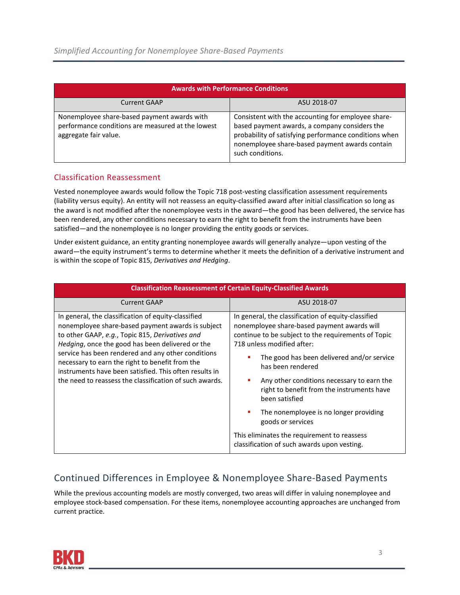| <b>Awards with Performance Conditions</b>                                                                                 |                                                                                                                                                                                                                                    |  |
|---------------------------------------------------------------------------------------------------------------------------|------------------------------------------------------------------------------------------------------------------------------------------------------------------------------------------------------------------------------------|--|
| <b>Current GAAP</b>                                                                                                       | ASU 2018-07                                                                                                                                                                                                                        |  |
| Nonemployee share-based payment awards with<br>performance conditions are measured at the lowest<br>aggregate fair value. | Consistent with the accounting for employee share-<br>based payment awards, a company considers the<br>probability of satisfying performance conditions when<br>nonemployee share-based payment awards contain<br>such conditions. |  |

### Classification Reassessment

Vested nonemployee awards would follow the Topic 718 post-vesting classification assessment requirements (liability versus equity). An entity will not reassess an equity-classified award after initial classification so long as the award is not modified after the nonemployee vests in the award—the good has been delivered, the service has been rendered, any other conditions necessary to earn the right to benefit from the instruments have been satisfied—and the nonemployee is no longer providing the entity goods or services.

Under existent guidance, an entity granting nonemployee awards will generally analyze—upon vesting of the award—the equity instrument's terms to determine whether it meets the definition of a derivative instrument and is within the scope of Topic 815, *Derivatives and Hedging*.

| <b>Classification Reassessment of Certain Equity-Classified Awards</b>                                                                                                                                                                                                                                                                                                                                                                        |                                                                                                                                                                                                                                                                                                                                                                                                                                                                                                                                                 |
|-----------------------------------------------------------------------------------------------------------------------------------------------------------------------------------------------------------------------------------------------------------------------------------------------------------------------------------------------------------------------------------------------------------------------------------------------|-------------------------------------------------------------------------------------------------------------------------------------------------------------------------------------------------------------------------------------------------------------------------------------------------------------------------------------------------------------------------------------------------------------------------------------------------------------------------------------------------------------------------------------------------|
| <b>Current GAAP</b>                                                                                                                                                                                                                                                                                                                                                                                                                           | ASU 2018-07                                                                                                                                                                                                                                                                                                                                                                                                                                                                                                                                     |
| In general, the classification of equity-classified<br>nonemployee share-based payment awards is subject<br>to other GAAP, e.g., Topic 815, Derivatives and<br>Hedging, once the good has been delivered or the<br>service has been rendered and any other conditions<br>necessary to earn the right to benefit from the<br>instruments have been satisfied. This often results in<br>the need to reassess the classification of such awards. | In general, the classification of equity-classified<br>nonemployee share-based payment awards will<br>continue to be subject to the requirements of Topic<br>718 unless modified after:<br>The good has been delivered and/or service<br>has been rendered<br>Any other conditions necessary to earn the<br>ш<br>right to benefit from the instruments have<br>been satisfied<br>The nonemployee is no longer providing<br>ш<br>goods or services<br>This eliminates the requirement to reassess<br>classification of such awards upon vesting. |

# Continued Differences in Employee & Nonemployee Share-Based Payments

While the previous accounting models are mostly converged, two areas will differ in valuing nonemployee and employee stock-based compensation. For these items, nonemployee accounting approaches are unchanged from current practice.

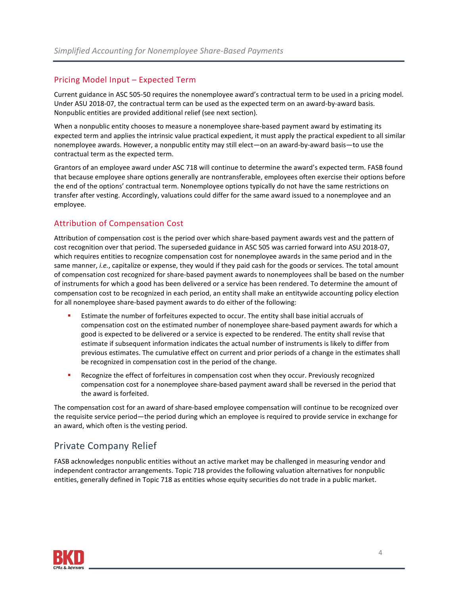#### Pricing Model Input – Expected Term

Current guidance in ASC 505-50 requires the nonemployee award's contractual term to be used in a pricing model. Under ASU 2018-07, the contractual term can be used as the expected term on an award-by-award basis. Nonpublic entities are provided additional relief (see next section).

When a nonpublic entity chooses to measure a nonemployee share-based payment award by estimating its expected term and applies the intrinsic value practical expedient, it must apply the practical expedient to all similar nonemployee awards. However, a nonpublic entity may still elect—on an award-by-award basis—to use the contractual term as the expected term.

Grantors of an employee award under ASC 718 will continue to determine the award's expected term. FASB found that because employee share options generally are nontransferable, employees often exercise their options before the end of the options' contractual term. Nonemployee options typically do not have the same restrictions on transfer after vesting. Accordingly, valuations could differ for the same award issued to a nonemployee and an employee.

#### Attribution of Compensation Cost

Attribution of compensation cost is the period over which share-based payment awards vest and the pattern of cost recognition over that period. The superseded guidance in ASC 505 was carried forward into ASU 2018-07, which requires entities to recognize compensation cost for nonemployee awards in the same period and in the same manner, *i.e.*, capitalize or expense, they would if they paid cash for the goods or services. The total amount of compensation cost recognized for share-based payment awards to nonemployees shall be based on the number of instruments for which a good has been delivered or a service has been rendered. To determine the amount of compensation cost to be recognized in each period, an entity shall make an entitywide accounting policy election for all nonemployee share-based payment awards to do either of the following:

- Estimate the number of forfeitures expected to occur. The entity shall base initial accruals of compensation cost on the estimated number of nonemployee share-based payment awards for which a good is expected to be delivered or a service is expected to be rendered. The entity shall revise that estimate if subsequent information indicates the actual number of instruments is likely to differ from previous estimates. The cumulative effect on current and prior periods of a change in the estimates shall be recognized in compensation cost in the period of the change.
- Recognize the effect of forfeitures in compensation cost when they occur. Previously recognized compensation cost for a nonemployee share-based payment award shall be reversed in the period that the award is forfeited.

The compensation cost for an award of share-based employee compensation will continue to be recognized over the requisite service period—the period during which an employee is required to provide service in exchange for an award, which often is the vesting period.

## Private Company Relief

FASB acknowledges nonpublic entities without an active market may be challenged in measuring vendor and independent contractor arrangements. Topic 718 provides the following valuation alternatives for nonpublic entities, generally defined in Topic 718 as entities whose equity securities do not trade in a public market.

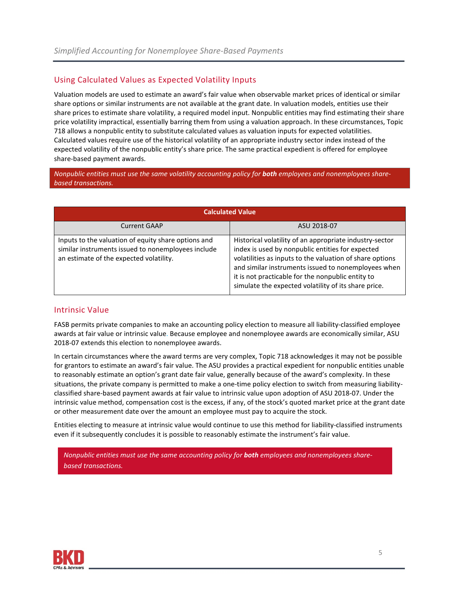#### Using Calculated Values as Expected Volatility Inputs

Valuation models are used to estimate an award's fair value when observable market prices of identical or similar share options or similar instruments are not available at the grant date. In valuation models, entities use their share prices to estimate share volatility, a required model input. Nonpublic entities may find estimating their share price volatility impractical, essentially barring them from using a valuation approach. In these circumstances, Topic 718 allows a nonpublic entity to substitute calculated values as valuation inputs for expected volatilities. Calculated values require use of the historical volatility of an appropriate industry sector index instead of the expected volatility of the nonpublic entity's share price. The same practical expedient is offered for employee share-based payment awards.

*Nonpublic entities must use the same volatility accounting policy for both employees and nonemployees sharebased transactions.*

| <b>Calculated Value</b>                                                                                                                              |                                                                                                                                                                                                                                                                                                                                             |
|------------------------------------------------------------------------------------------------------------------------------------------------------|---------------------------------------------------------------------------------------------------------------------------------------------------------------------------------------------------------------------------------------------------------------------------------------------------------------------------------------------|
| <b>Current GAAP</b>                                                                                                                                  | ASU 2018-07                                                                                                                                                                                                                                                                                                                                 |
| Inputs to the valuation of equity share options and<br>similar instruments issued to nonemployees include<br>an estimate of the expected volatility. | Historical volatility of an appropriate industry-sector<br>index is used by nonpublic entities for expected<br>volatilities as inputs to the valuation of share options<br>and similar instruments issued to nonemployees when<br>it is not practicable for the nonpublic entity to<br>simulate the expected volatility of its share price. |

#### Intrinsic Value

FASB permits private companies to make an accounting policy election to measure all liability-classified employee awards at fair value or intrinsic value. Because employee and nonemployee awards are economically similar, ASU 2018-07 extends this election to nonemployee awards.

In certain circumstances where the award terms are very complex, Topic 718 acknowledges it may not be possible for grantors to estimate an award's fair value. The ASU provides a practical expedient for nonpublic entities unable to reasonably estimate an option's grant date fair value, generally because of the award's complexity. In these situations, the private company is permitted to make a one-time policy election to switch from measuring liabilityclassified share-based payment awards at fair value to intrinsic value upon adoption of ASU 2018-07. Under the intrinsic value method, compensation cost is the excess, if any, of the stock's quoted market price at the grant date or other measurement date over the amount an employee must pay to acquire the stock.

Entities electing to measure at intrinsic value would continue to use this method for liability-classified instruments even if it subsequently concludes it is possible to reasonably estimate the instrument's fair value.

*Nonpublic entities must use the same accounting policy for both employees and nonemployees sharebased transactions.*

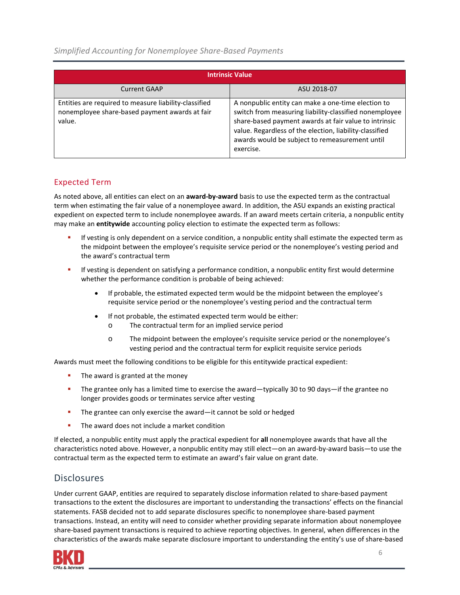*Simplified Accounting for Nonemployee Share-Based Payments*

| <b>Intrinsic Value</b>                                                                                            |                                                                                                                                                                                                                                                                                                 |  |
|-------------------------------------------------------------------------------------------------------------------|-------------------------------------------------------------------------------------------------------------------------------------------------------------------------------------------------------------------------------------------------------------------------------------------------|--|
| <b>Current GAAP</b>                                                                                               | ASU 2018-07                                                                                                                                                                                                                                                                                     |  |
| Entities are required to measure liability-classified<br>nonemployee share-based payment awards at fair<br>value. | A nonpublic entity can make a one-time election to<br>switch from measuring liability-classified nonemployee<br>share-based payment awards at fair value to intrinsic<br>value. Regardless of the election, liability-classified<br>awards would be subject to remeasurement until<br>exercise. |  |

## Expected Term

As noted above, all entities can elect on an **award-by-award** basis to use the expected term as the contractual term when estimating the fair value of a nonemployee award. In addition, the ASU expands an existing practical expedient on expected term to include nonemployee awards. If an award meets certain criteria, a nonpublic entity may make an **entitywide** accounting policy election to estimate the expected term as follows:

- If vesting is only dependent on a service condition, a nonpublic entity shall estimate the expected term as the midpoint between the employee's requisite service period or the nonemployee's vesting period and the award's contractual term
- If vesting is dependent on satisfying a performance condition, a nonpublic entity first would determine whether the performance condition is probable of being achieved:
	- If probable, the estimated expected term would be the midpoint between the employee's requisite service period or the nonemployee's vesting period and the contractual term
	- If not probable, the estimated expected term would be either:
		- o The contractual term for an implied service period
		- o The midpoint between the employee's requisite service period or the nonemployee's vesting period and the contractual term for explicit requisite service periods

Awards must meet the following conditions to be eligible for this entitywide practical expedient:

- The award is granted at the money
- The grantee only has a limited time to exercise the award—typically 30 to 90 days—if the grantee no longer provides goods or terminates service after vesting
- **The grantee can only exercise the award—it cannot be sold or hedged**
- **The award does not include a market condition**

If elected, a nonpublic entity must apply the practical expedient for **all** nonemployee awards that have all the characteristics noted above. However, a nonpublic entity may still elect—on an award-by-award basis—to use the contractual term as the expected term to estimate an award's fair value on grant date.

## Disclosures

Under current GAAP, entities are required to separately disclose information related to share-based payment transactions to the extent the disclosures are important to understanding the transactions' effects on the financial statements. FASB decided not to add separate disclosures specific to nonemployee share-based payment transactions. Instead, an entity will need to consider whether providing separate information about nonemployee share-based payment transactions is required to achieve reporting objectives. In general, when differences in the characteristics of the awards make separate disclosure important to understanding the entity's use of share-based